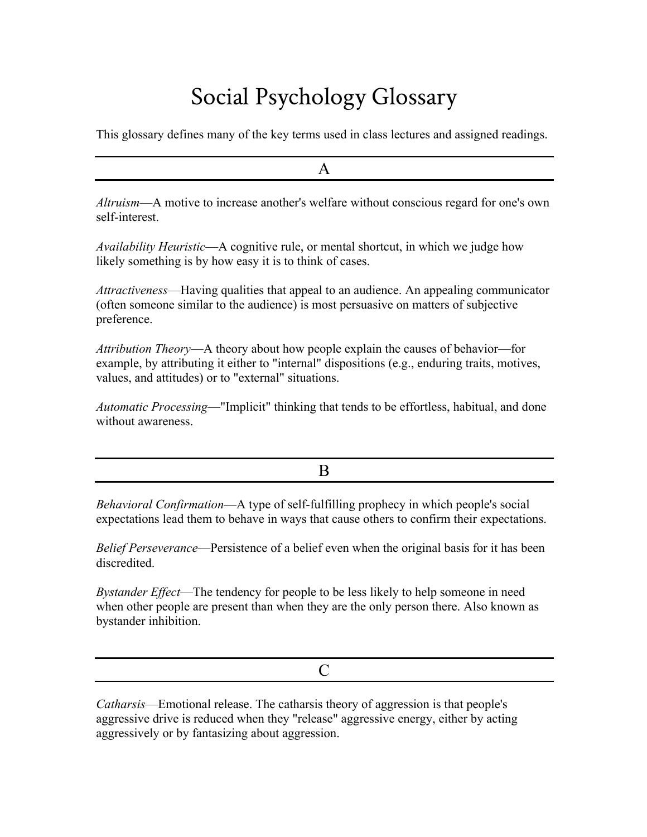## Social Psychology Glossary

This glossary defines many of the key terms used in class lectures and assigned readings.

| <i>Altruism</i> —A motive to increase another's welfare without conscious regard for one's own<br>self-interest |
|-----------------------------------------------------------------------------------------------------------------|

*Availability Heuristic*—A cognitive rule, or mental shortcut, in which we judge how likely something is by how easy it is to think of cases.

*Attractiveness*—Having qualities that appeal to an audience. An appealing communicator (often someone similar to the audience) is most persuasive on matters of subjective preference.

*Attribution Theory*—A theory about how people explain the causes of behavior—for example, by attributing it either to "internal" dispositions (e.g., enduring traits, motives, values, and attitudes) or to "external" situations.

*Automatic Processing*—"Implicit" thinking that tends to be effortless, habitual, and done without awareness.

B

*Behavioral Confirmation*—A type of self-fulfilling prophecy in which people's social expectations lead them to behave in ways that cause others to confirm their expectations.

*Belief Perseverance*—Persistence of a belief even when the original basis for it has been discredited.

*Bystander Effect*—The tendency for people to be less likely to help someone in need when other people are present than when they are the only person there. Also known as bystander inhibition.

C

*Catharsis*—Emotional release. The catharsis theory of aggression is that people's aggressive drive is reduced when they "release" aggressive energy, either by acting aggressively or by fantasizing about aggression.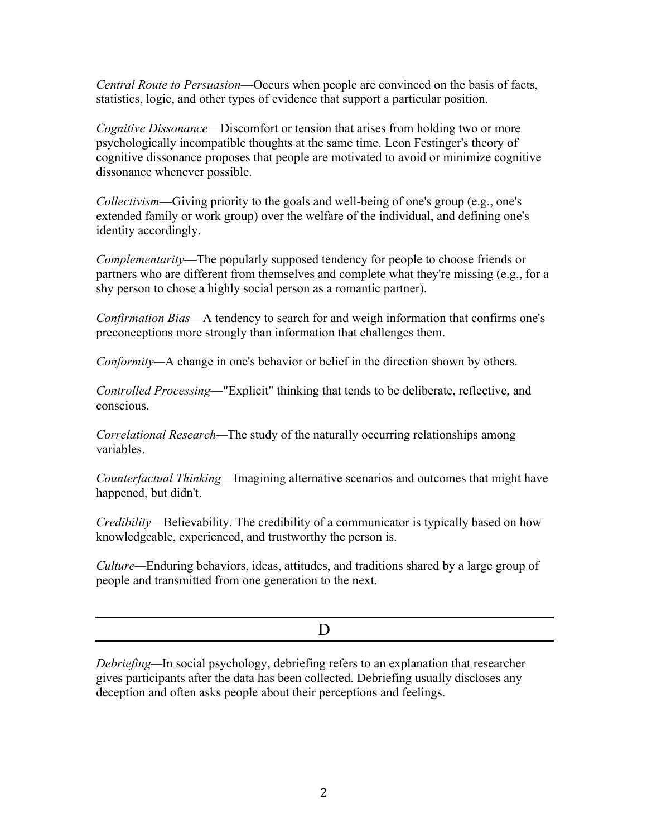*Central Route to Persuasion*—Occurs when people are convinced on the basis of facts, statistics, logic, and other types of evidence that support a particular position.

*Cognitive Dissonance*—Discomfort or tension that arises from holding two or more psychologically incompatible thoughts at the same time. Leon Festinger's theory of cognitive dissonance proposes that people are motivated to avoid or minimize cognitive dissonance whenever possible.

*Collectivism*—Giving priority to the goals and well-being of one's group (e.g., one's extended family or work group) over the welfare of the individual, and defining one's identity accordingly.

*Complementarity*—The popularly supposed tendency for people to choose friends or partners who are different from themselves and complete what they're missing (e.g., for a shy person to chose a highly social person as a romantic partner).

*Confirmation Bias*—A tendency to search for and weigh information that confirms one's preconceptions more strongly than information that challenges them.

*Conformity—*A change in one's behavior or belief in the direction shown by others.

*Controlled Processing*—"Explicit" thinking that tends to be deliberate, reflective, and conscious.

*Correlational Research—*The study of the naturally occurring relationships among variables.

*Counterfactual Thinking*—Imagining alternative scenarios and outcomes that might have happened, but didn't.

*Credibility*—Believability. The credibility of a communicator is typically based on how knowledgeable, experienced, and trustworthy the person is.

*Culture—*Enduring behaviors, ideas, attitudes, and traditions shared by a large group of people and transmitted from one generation to the next.

D

*Debriefing—*In social psychology, debriefing refers to an explanation that researcher gives participants after the data has been collected. Debriefing usually discloses any deception and often asks people about their perceptions and feelings.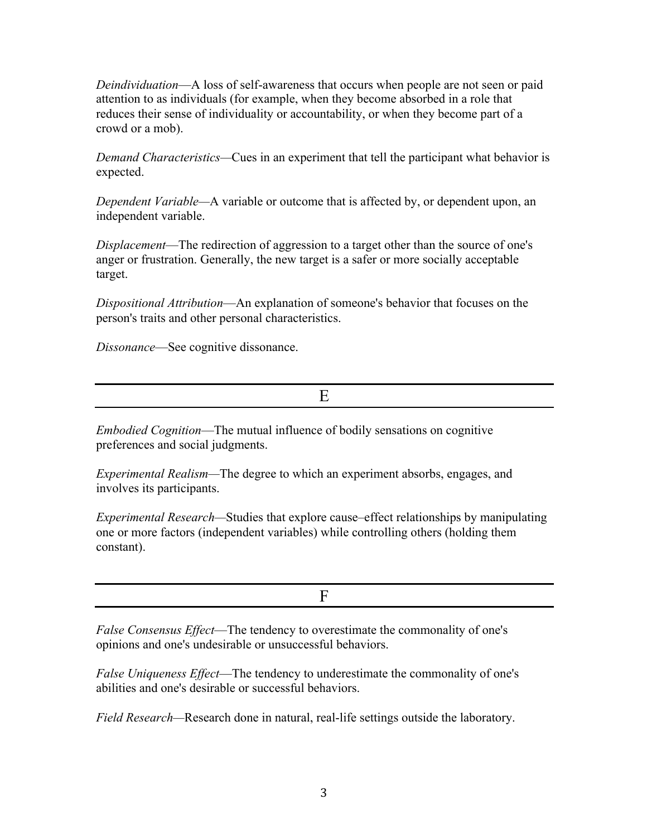*Deindividuation*—A loss of self-awareness that occurs when people are not seen or paid attention to as individuals (for example, when they become absorbed in a role that reduces their sense of individuality or accountability, or when they become part of a crowd or a mob).

*Demand Characteristics—*Cues in an experiment that tell the participant what behavior is expected.

*Dependent Variable—*A variable or outcome that is affected by, or dependent upon, an independent variable.

*Displacement*—The redirection of aggression to a target other than the source of one's anger or frustration. Generally, the new target is a safer or more socially acceptable target.

*Dispositional Attribution*—An explanation of someone's behavior that focuses on the person's traits and other personal characteristics.

*Dissonance*—See cognitive dissonance.

E

*Embodied Cognition*—The mutual influence of bodily sensations on cognitive preferences and social judgments.

*Experimental Realism—*The degree to which an experiment absorbs, engages, and involves its participants.

*Experimental Research—*Studies that explore cause–effect relationships by manipulating one or more factors (independent variables) while controlling others (holding them constant).

F

*False Consensus Effect*—The tendency to overestimate the commonality of one's opinions and one's undesirable or unsuccessful behaviors.

*False Uniqueness Effect*—The tendency to underestimate the commonality of one's abilities and one's desirable or successful behaviors.

*Field Research—*Research done in natural, real-life settings outside the laboratory.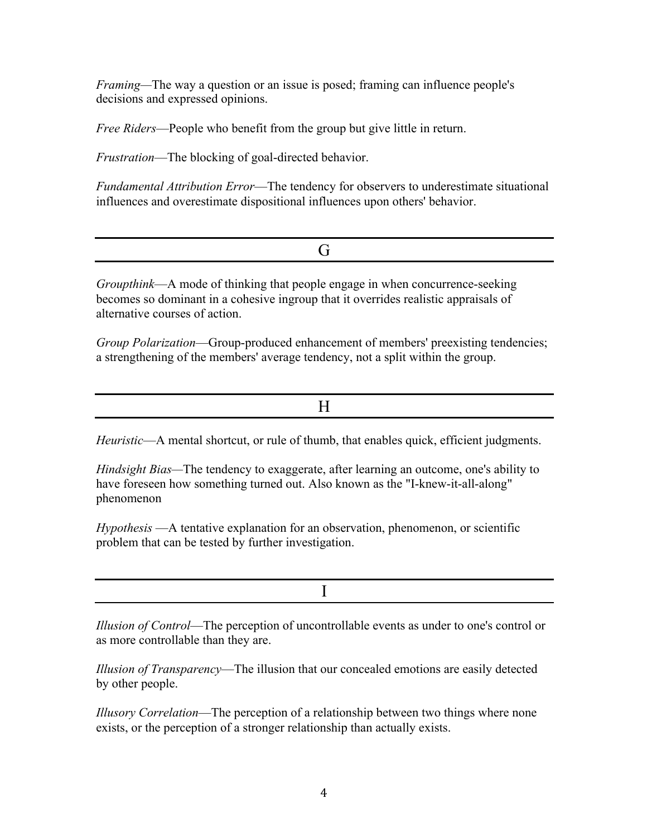*Framing—*The way a question or an issue is posed; framing can influence people's decisions and expressed opinions.

*Free Riders*—People who benefit from the group but give little in return.

*Frustration*—The blocking of goal-directed behavior.

*Fundamental Attribution Error*—The tendency for observers to underestimate situational influences and overestimate dispositional influences upon others' behavior.

*Groupthink*—A mode of thinking that people engage in when concurrence-seeking becomes so dominant in a cohesive ingroup that it overrides realistic appraisals of alternative courses of action.

*Group Polarization*—Group-produced enhancement of members' preexisting tendencies; a strengthening of the members' average tendency, not a split within the group.

*Heuristic*—A mental shortcut, or rule of thumb, that enables quick, efficient judgments.

*Hindsight Bias—*The tendency to exaggerate, after learning an outcome, one's ability to have foreseen how something turned out. Also known as the "I-knew-it-all-along" phenomenon

*Hypothesis* —A tentative explanation for an observation, phenomenon, or scientific problem that can be tested by further investigation.

I

*Illusion of Control*—The perception of uncontrollable events as under to one's control or as more controllable than they are.

*Illusion of Transparency*—The illusion that our concealed emotions are easily detected by other people.

*Illusory Correlation*—The perception of a relationship between two things where none exists, or the perception of a stronger relationship than actually exists.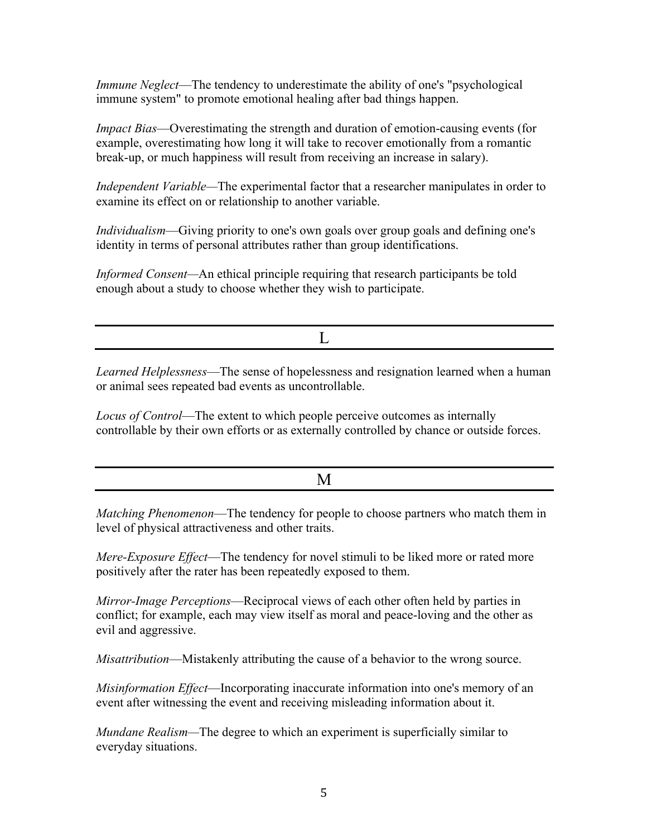*Immune Neglect*—The tendency to underestimate the ability of one's "psychological immune system" to promote emotional healing after bad things happen.

*Impact Bias*—Overestimating the strength and duration of emotion-causing events (for example, overestimating how long it will take to recover emotionally from a romantic break-up, or much happiness will result from receiving an increase in salary).

*Independent Variable—*The experimental factor that a researcher manipulates in order to examine its effect on or relationship to another variable.

*Individualism*—Giving priority to one's own goals over group goals and defining one's identity in terms of personal attributes rather than group identifications.

*Informed Consent*—An ethical principle requiring that research participants be told enough about a study to choose whether they wish to participate.

 $\mathbf{L}$ 

*Learned Helplessness*—The sense of hopelessness and resignation learned when a human or animal sees repeated bad events as uncontrollable.

*Locus of Control*—The extent to which people perceive outcomes as internally controllable by their own efforts or as externally controlled by chance or outside forces.

*Matching Phenomenon*—The tendency for people to choose partners who match them in level of physical attractiveness and other traits.

*Mere-Exposure Effect*—The tendency for novel stimuli to be liked more or rated more positively after the rater has been repeatedly exposed to them.

*Mirror-Image Perceptions*—Reciprocal views of each other often held by parties in conflict; for example, each may view itself as moral and peace-loving and the other as evil and aggressive.

*Misattribution*—Mistakenly attributing the cause of a behavior to the wrong source.

*Misinformation Effect*—Incorporating inaccurate information into one's memory of an event after witnessing the event and receiving misleading information about it.

*Mundane Realism—*The degree to which an experiment is superficially similar to everyday situations.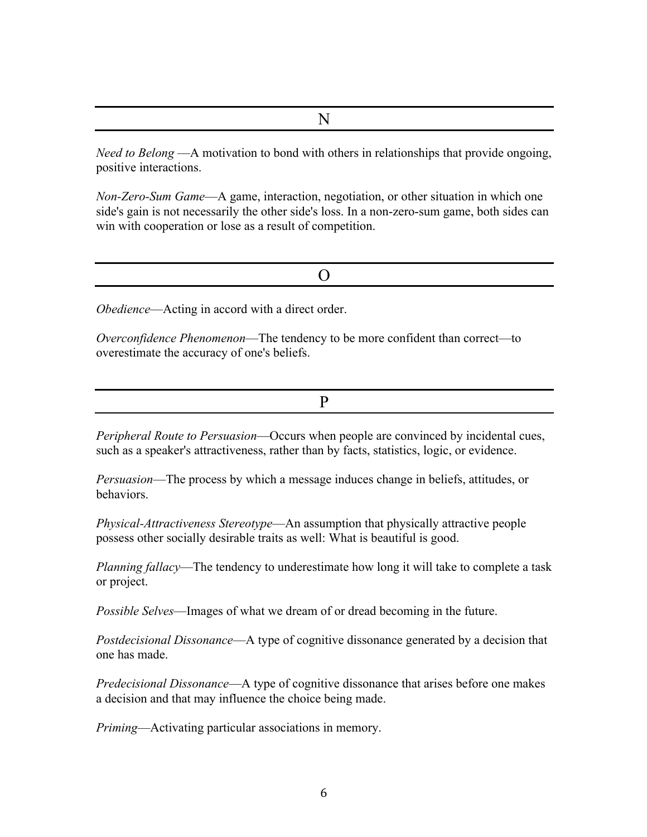N

*Need to Belong* —A motivation to bond with others in relationships that provide ongoing, positive interactions.

*Non-Zero-Sum Game*—A game, interaction, negotiation, or other situation in which one side's gain is not necessarily the other side's loss. In a non-zero-sum game, both sides can win with cooperation or lose as a result of competition.

*Obedience*—Acting in accord with a direct order.

*Overconfidence Phenomenon*—The tendency to be more confident than correct—to overestimate the accuracy of one's beliefs.

P

*Peripheral Route to Persuasion*—Occurs when people are convinced by incidental cues, such as a speaker's attractiveness, rather than by facts, statistics, logic, or evidence.

*Persuasion*—The process by which a message induces change in beliefs, attitudes, or behaviors.

*Physical-Attractiveness Stereotype*—An assumption that physically attractive people possess other socially desirable traits as well: What is beautiful is good.

*Planning fallacy*—The tendency to underestimate how long it will take to complete a task or project.

*Possible Selves*—Images of what we dream of or dread becoming in the future.

*Postdecisional Dissonance*—A type of cognitive dissonance generated by a decision that one has made.

*Predecisional Dissonance*—A type of cognitive dissonance that arises before one makes a decision and that may influence the choice being made.

*Priming*—Activating particular associations in memory.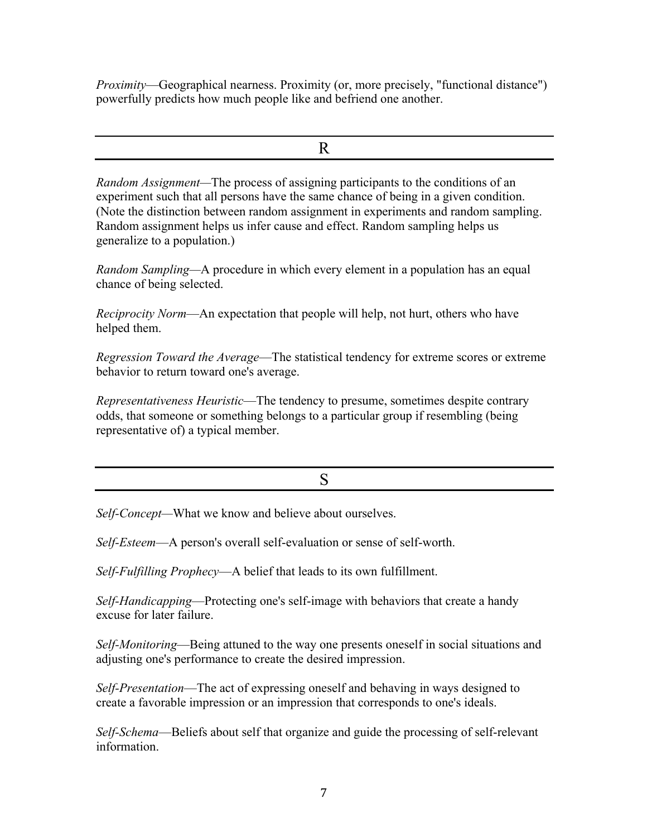*Proximity*—Geographical nearness. Proximity (or, more precisely, "functional distance") powerfully predicts how much people like and befriend one another.

R

*Random Assignment—*The process of assigning participants to the conditions of an experiment such that all persons have the same chance of being in a given condition. (Note the distinction between random assignment in experiments and random sampling. Random assignment helps us infer cause and effect. Random sampling helps us generalize to a population.)

*Random Sampling—*A procedure in which every element in a population has an equal chance of being selected.

*Reciprocity Norm*—An expectation that people will help, not hurt, others who have helped them.

*Regression Toward the Average*—The statistical tendency for extreme scores or extreme behavior to return toward one's average.

*Representativeness Heuristic*—The tendency to presume, sometimes despite contrary odds, that someone or something belongs to a particular group if resembling (being representative of) a typical member.

S

*Self-Concept—*What we know and believe about ourselves.

*Self-Esteem*—A person's overall self-evaluation or sense of self-worth.

*Self-Fulfilling Prophecy*—A belief that leads to its own fulfillment.

*Self-Handicapping*—Protecting one's self-image with behaviors that create a handy excuse for later failure.

*Self-Monitoring*—Being attuned to the way one presents oneself in social situations and adjusting one's performance to create the desired impression.

*Self-Presentation*—The act of expressing oneself and behaving in ways designed to create a favorable impression or an impression that corresponds to one's ideals.

*Self-Schema*—Beliefs about self that organize and guide the processing of self-relevant information.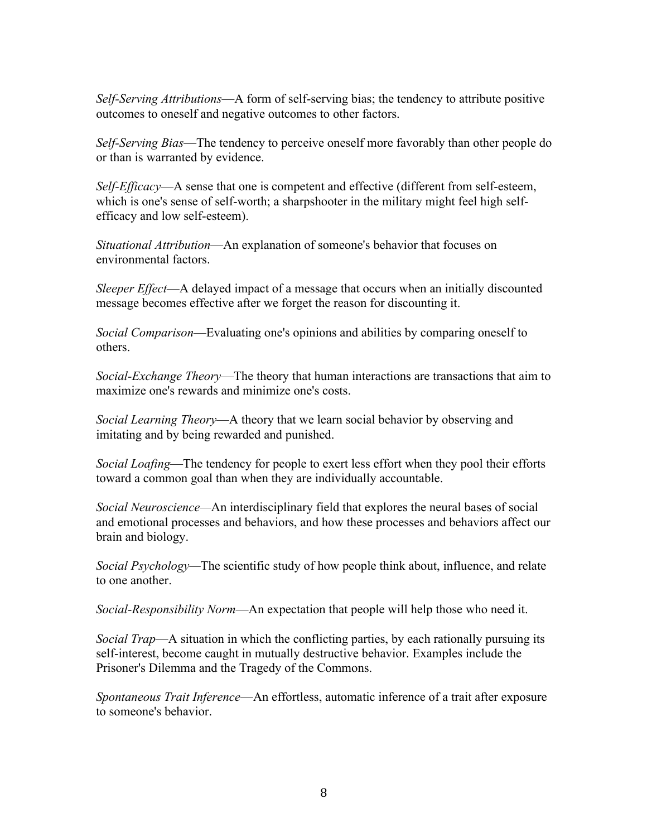*Self-Serving Attributions*—A form of self-serving bias; the tendency to attribute positive outcomes to oneself and negative outcomes to other factors.

*Self-Serving Bias*—The tendency to perceive oneself more favorably than other people do or than is warranted by evidence.

*Self-Efficacy*—A sense that one is competent and effective (different from self-esteem, which is one's sense of self-worth; a sharpshooter in the military might feel high selfefficacy and low self-esteem).

*Situational Attribution*—An explanation of someone's behavior that focuses on environmental factors.

*Sleeper Effect*—A delayed impact of a message that occurs when an initially discounted message becomes effective after we forget the reason for discounting it.

*Social Comparison*—Evaluating one's opinions and abilities by comparing oneself to others.

*Social-Exchange Theory*—The theory that human interactions are transactions that aim to maximize one's rewards and minimize one's costs.

*Social Learning Theory*—A theory that we learn social behavior by observing and imitating and by being rewarded and punished.

*Social Loafing*—The tendency for people to exert less effort when they pool their efforts toward a common goal than when they are individually accountable.

*Social Neuroscience—*An interdisciplinary field that explores the neural bases of social and emotional processes and behaviors, and how these processes and behaviors affect our brain and biology.

*Social Psychology—*The scientific study of how people think about, influence, and relate to one another.

*Social-Responsibility Norm*—An expectation that people will help those who need it.

*Social Trap*—A situation in which the conflicting parties, by each rationally pursuing its self-interest, become caught in mutually destructive behavior. Examples include the Prisoner's Dilemma and the Tragedy of the Commons.

*Spontaneous Trait Inference*—An effortless, automatic inference of a trait after exposure to someone's behavior.